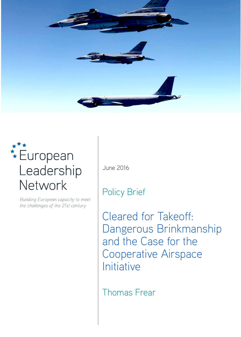

# **\*\*\*** European Leadership Network

Building European capacity to meet the challenges of the 21st century

June 2016

# Policy Brief

Cleared for Takeoff: Dangerous Brinkmanship and the Case for the Cooperative Airspace Initiative

Thomas Frear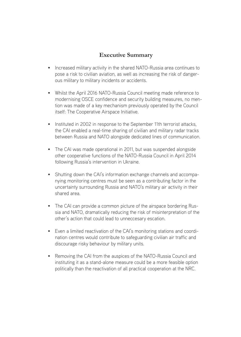### **Executive Summary**

- Increased military activity in the shared NATO-Russia area continues to pose a risk to civilian aviation, as well as increasing the risk of dangerous military to military incidents or accidents.
- Whilst the April 2016 NATO-Russia Council meeting made reference to modernising OSCE confidence and security building measures, no mention was made of a key mechanism previously operated by the Council itself: The Cooperative Airspace Initiative.
- Instituted in 2002 in response to the September 11th terrorist attacks, the CAI enabled a real-time sharing of civilian and military radar tracks between Russia and NATO alongside dedicated lines of communication.
- The CAI was made operational in 2011, but was suspended alongside other cooperative functions of the NATO-Russia Council in April 2014 following Russia's intervention in Ukraine.
- Shutting down the CAI's information exchange channels and accompanying monitoring centres must be seen as a contributing factor in the uncertainty surrounding Russia and NATO's military air activity in their shared area.
- The CAI can provide a common picture of the airspace bordering Russia and NATO, dramatically reducing the risk of misinterpretation of the other's action that could lead to unneccesary escation.
- Even a limited reactivation of the CAI's monitoring stations and coordination centres would contribute to safeguarding civilian air traffic and discourage risky behaviour by military units.
- Removing the CAI from the auspices of the NATO-Russia Council and instituting it as a stand-alone measure could be a more feasible option politically than the reactivation of all practical cooperation at the NRC.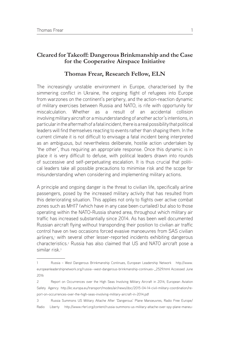#### **Cleared for Takeoff: Dangerous Brinkmanship and the Case for the Cooperative Airspace Initiative**

#### **Thomas Frear, Research Fellow, ELN**

The increasingly unstable environment in Europe, characterised by the simmering conflict in Ukraine, the ongoing flight of refugees into Europe from warzones on the continent's periphery, and the action-reaction dynamic of military exercises between Russia and NATO, is rife with opportunity for miscalculation. Whether as a result of an accidental collision involving military aircraft or a misunderstanding of another actor's intentions, in particular in the aftermath of a fatal incident, there is a real possibility that political leaders will find themselves reacting to events rather than shaping them. In the current climate it is not difficult to envisage a fatal incident being interpreted as an ambiguous, but nevertheless deliberate, hostile action undertaken by 'the other', thus requiring an appropriate response. Once this dynamic is in place it is very difficult to defuse, with political leaders drawn into rounds of successive and self-perpetuating escalation. It is thus crucial that political leaders take all possible precautions to minimise risk and the scope for misunderstanding when considering and implementing military actions.

A principle and ongoing danger is the threat to civilian life, specifically airline passengers, posed by the increased military activity that has resulted from this deteriorating situation. This applies not only to flights over active combat zones such as MH17 (which have in any case been curtailed) but also to those operating within the NATO-Russia shared area, throughout which military air traffic has increased substantially since 2014. As has been well documented Russian aircraft flying without transponding their position to civilian air traffic control have on two occasions forced evasive manoeuvres from SAS civilian airliners,<sup>1</sup> with several other lesser-reported incidents exhibiting dangerous characteristics.2 Russia has also claimed that US and NATO aircraft pose a similar risk.<sup>3</sup>

<sup>1</sup> Russia – West Dangerous Brinkmanship Continues, European Leadership Network http://www. europeanleadershipnetwork.org/russia--west-dangerous-brinkmanship-continues-\_2529.html Accessed June 2016

<sup>2</sup> Report on Occurrences over the High Seas Involving Military Aircraft in 2014, European Aviation Safety Agency http://ec.europa.eu/transport/modes/air/news/doc/2015-04-14-civil-military-coordination/report-on-occurrences-over-the-high-seas-involving-military-aircraft-in-2014.pdf

<sup>3</sup> Russia Summons US Military Attache After 'Dangerous' Plane Manoeuvres, Radio Free Europe/ Radio Liberty http://www.rferl.org/content/russia-summons-us-military-attache-over-spy-plane-maneu-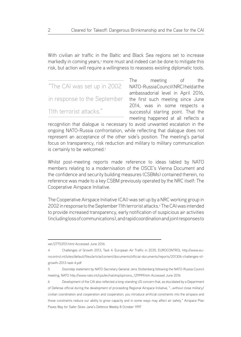With civilian air traffic in the Baltic and Black Sea regions set to increase markedly in coming years,<sup>4</sup> more must and indeed can be done to mitigate this risk, but action will require a willingness to reassess existing diplomatic tools.

"The CAI was set up in 2002 in response to the September 11th terrorist attacks."

The meeting of the NATO-Russia Council (NRC) held at the ambassadorial level in April 2016, the first such meeting since June 2014, was in some respects a successful starting point. That the meeting happened at all reflects a

recognition that dialogue is necessary to avoid unwanted escalation in the ongoing NATO-Russia confrontation, while reflecting that dialogue does not represent an acceptance of the other side's position. The meeting's partial focus on transparency, risk reduction and military to military communication is certainly to be welcomed.<sup>5</sup>

Whilst post-meeting reports made reference to ideas tabled by NATO members relating to a modernisation of the OSCE's Vienna Document and the confidence and security building measures (CSBMs) contained therein, no reference was made to a key CSBM previously operated by the NRC itself: The Cooperative Airspace Initiative.

The Cooperative Airspace Initiative (CAI) was set up by a NRC working group in 2002 in response to the September 11th terrorist attacks.<sup>6</sup> The CAI was intended to provide increased transparency, early notification of suspicious air activities (including loss of communications), and rapid coordination and joint responses to

ver/27753701.html Accessed June 2016

<sup>4</sup> Challenges of Growth 2013, Task 4: European Air Traffic in 2035, EUROCONTROL http://www.eurocontrol.int/sites/default/files/article/content/documents/official-documents/reports/201306-challenges-ofgrowth-2013-task-4.pdf

<sup>5</sup> Doorstep statement by NATO Secretary General Jens Stoltenberg following the NATO-Russia Council meeting, NATO http://www.nato.int/cps/en/natohq/opinions\_129999.htm Accessed June 2016

<sup>6</sup> Development of the CAI also reflected a long-standing US concern that, as elucidated by a Department of Defense official during the development of proceeding Regional Airspace Initiative, "…without close military/ civilian coordination and cooperation and cooperation, you introduce artificial constraints into the airspace and those constraints reduce our ability to grow capacity and in some ways may affect air safety." Airspace Plan Paves Way for Safer Skies Jane's Defence Weekly 8 October 1997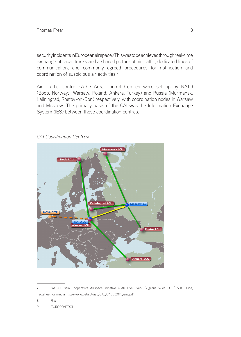security incidents in Europeanairspace.<sup>7</sup> This was to be achieved through real-time exchange of radar tracks and a shared picture of air traffic, dedicated lines of communication, and commonly agreed procedures for notification and coordination of suspicious air activities.<sup>8</sup>

Air Traffic Control (ATC) Area Control Centres were set up by NATO (Bodo, Norway; Warsaw, Poland; Ankara, Turkey) and Russia (Murmansk, Kaliningrad, Rostov-on-Don) respectively, with coordination nodes in Warsaw and Moscow. The primary basis of the CAI was the Information Exchange System (IES) between these coordination centres.



#### *CAI Coordination Centres9*

<sup>7</sup> NATO-Russia Cooperative Airspace Initiative (CAI) Live Event "Vigilant Skies 2011" 6-10 June, Factsheet for media http://www.pata.pl/aap/CAI\_07.06.2011\_eng.pdf

<sup>8</sup> *Ibid*

<sup>9</sup> EUROCONTROL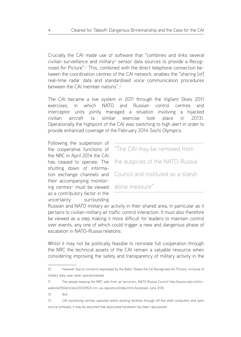Crucially the CAI made use of software that "combines and links several civilian surveillance and military<sup>10</sup> sensor data sources to provide a Recognised Air Picture".11 This, combined with the direct telephone connection between the coordination centres of the CAI network, enables the "sharing [of] real-time radar data and standardised voice communication procedures between the CAI member nations".12

The CAI became a live system in 2011 through the Vigilant Skies 2011 exercises, in which NATO and Russian control centres and interceptor units jointly managed a situation involving a hijacked civilian aircraft (a similar exercise took place in 2013). Operationally the highpoint of the CAI was switching to high alert in order to provide enhanced coverage of the February 2014 Sochi Olympics.

Following the suspension of the cooperative functions of the NRC in April 2014 the CAI has ceased to operate. The shutting down of information exchange channels and their accompanying monitoring centres<sup>13</sup> must be viewed as a contributory factor in the uncertainty surrounding

"The CAI may be removed from the auspices of the NATO-Russia Council and instituted as a standalone measure"

Russian and NATO military air activity in their shared area, in particular as it pertains to civilian-military air traffic control interaction. It must also therefore be viewed as a step making it more difficult for leaders to maintain control over events, any one of which could trigger a new and dangerous phase of escalation in NATO-Russia relations.

Whilst it may not be politically feasible to reinstate full cooperation through the NRC the technical assets of the CAI remain a valuable resource when considering improving the safety and transparency of military activity in the

<sup>10</sup> However due to concerns expressed by the Baltic States the full Recognised Air Picture, inclusive of military data, was never operationalised.

<sup>11</sup> The people keeping the NRC safe from air terrorism, NATO-Russia Council http://www.nato.int/nrcwebsite/EN/articles/20130923-nrc-cai-operators/index.html Accessed June 2016

<sup>12</sup> *Ibid*

<sup>13</sup> CAI monitoring centres operated within existing facilities through off-the-shelf computers and open source software, it may be assumed that associated hardware has been repurposed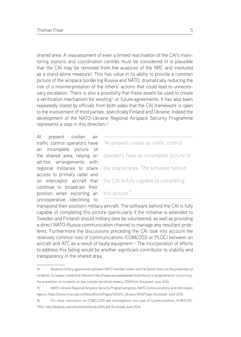shared area. A reassessment of even a limited reactivation of the CAI's monitoring stations and coordination centres must be considered (it is plausible that the CAI may be removed from the auspices of the NRC and instituted as a stand-alone measure). This has value in its ability to provide a common picture of the airspace bordering Russia and NATO, dramatically reducing the risk of a misinterpretation of the others' actions that could lead to unnecessary escalation. There is also a possibility that these assets be used to create a verification mechanism for existing<sup>14</sup> or future agreements. It has also been repeatedly stated by officials from both sides that the CAI framework is open to the involvement of third parties, specifically Finland and Ukraine. Indeed the development of the NATO-Ukraine Regional Airspace Security Programme represents a step in this direction.15

At present civilian air traffic control operators have an incomplete picture of the shared area, relying on ad-hoc arrangements with regional militaries to share access to primary radar and on interceptor aircraft that continue to broadcast their position when escorting an uncooperative (declining to

"At present civilian air traffic control operators have an incomplete picture of the shared area. The software behind the CAI is fully capable of completing this picture."

transpond their position) military aircraft. The software behind the CAI is fully capable of completing this picture (particularly if the initiative is extended to Sweden and Finland) should military data be volunteered, as well as providing a direct NATO-Russia communication channel to manage any resultant problems. Furthermore the discussions preceding the CAI took into account the relatively common loss of communications (COMLOSS or PLOC) between an aircraft and ATC as a result of faulty equipment.<sup>16</sup> The incorporation of efforts to address this failing would be another significant contributor to stability and transparency in the shared area.

<sup>14</sup> Bilateral military agreements between NATO member states and the Soviet Union on the prevention of incidents, European Leadership Network http://www.europeanleadershipnetwork.org/agreements-concerningthe-prevention-of-incidents-at-sea-outside-territorial-waters\_3349.html Accessed June 2016

<sup>15</sup> NATO-Ukraine Regional Airspace Security Program progress, NATO Communications and Information Agency https://www.ncia.nato.int/NewsRoom/Pages/160315\_Ukraine-RASP.aspx Accessed June 2016

<sup>16</sup> For more information on COMCLOSS see Investigations into Loss of Communications, EUROCON-TROL http://skybrary.aero/bookshelf/books/826.pdf Accessed June 2016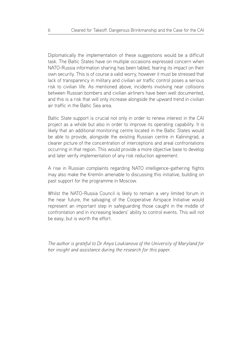Diplomatically the implementation of these suggestions would be a difficult task. The Baltic States have on multiple occasions expressed concern when NATO-Russia information sharing has been tabled, fearing its impact on their own security. This is of course a valid worry, however it must be stressed that lack of transparency in military and civilian air traffic control poses a serious risk to civilian life. As mentioned above, incidents involving near collisions between Russian bombers and civilian airliners have been well documented, and this is a risk that will only increase alongside the upward trend in civilian air traffic in the Baltic Sea area.

Baltic State support is crucial not only in order to renew interest in the CAI project as a whole but also in order to improve its operating capability. It is likely that an additional monitoring centre located in the Baltic States would be able to provide, alongside the existing Russian centre in Kaliningrad, a clearer picture of the concentration of interceptions and areal confrontations occurring in that region. This would provide a more objective base to develop and later verify implementation of any risk reduction agreement.

A rise in Russian complaints regarding NATO intelligence-gathering flights may also make the Kremlin amenable to discussing this initiative, building on past support for the programme in Moscow.

Whilst the NATO-Russia Council is likely to remain a very limited forum in the near future, the salvaging of the Cooperative Airspace Initiative would represent an important step in safeguarding those caught in the middle of confrontation and in increasing leaders' ability to control events. This will not be easy, but is worth the effort.

*The author is grateful to Dr Anya Loukianova of the University of Maryland for her insight and assistance during the research for this paper.*